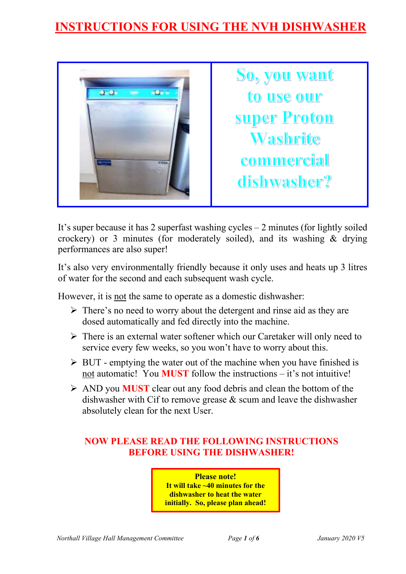# **INSTRUCTIONS FOR USING THE NVH DISHWASHER**



It's super because it has 2 superfast washing cycles – 2 minutes (for lightly soiled crockery) or 3 minutes (for moderately soiled), and its washing & drying performances are also super!

It's also very environmentally friendly because it only uses and heats up 3 litres of water for the second and each subsequent wash cycle.

However, it is not the same to operate as a domestic dishwasher:

- $\triangleright$  There's no need to worry about the detergent and rinse aid as they are dosed automatically and fed directly into the machine.
- $\triangleright$  There is an external water softener which our Caretaker will only need to service every few weeks, so you won't have to worry about this.
- $\triangleright$  BUT emptying the water out of the machine when you have finished is not automatic! You **MUST** follow the instructions – it's not intuitive!
- AND you **MUST** clear out any food debris and clean the bottom of the dishwasher with Cif to remove grease & scum and leave the dishwasher absolutely clean for the next User.

#### **NOW PLEASE READ THE FOLLOWING INSTRUCTIONS BEFORE USING THE DISHWASHER!**

**Please note! It will take ~40 minutes for the dishwasher to heat the water initially. So, please plan ahead!**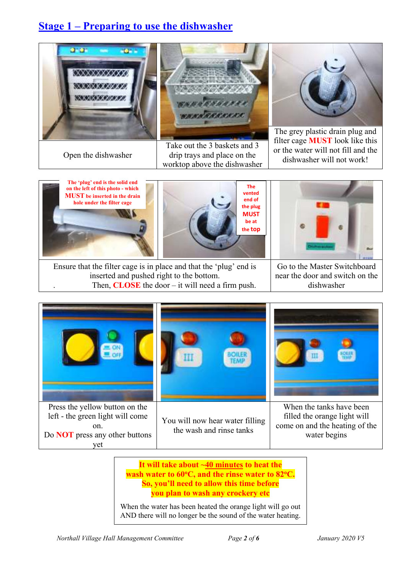## **Stage 1 – Preparing to use the dishwasher**





Open the dishwasher drip trays and place on the dishwasher will not work! Take out the 3 baskets and 3 worktop above the dishwasher



The grey plastic drain plug and filter cage **MUST** look like this or the water will not fill and the





Ensure that the filter cage is in place and that the 'plug' end is inserted and pushed right to the bottom. Then,  $CLOSE$  the door – it will need a firm push.

Go to the Master Switchboard near the door and switch on the dishwasher



**It will take about ~40 minutes to heat the wash water to 60<sup>o</sup>C, and the rinse water to 82<sup>o</sup>C. So, you'll need to allow this time before you plan to wash any crockery etc** 

When the water has been heated the orange light will go out AND there will no longer be the sound of the water heating.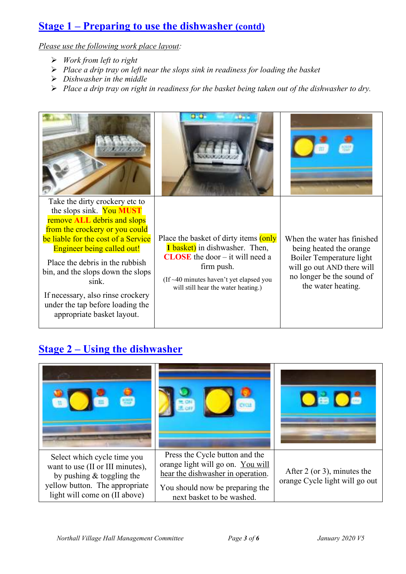#### **Stage 1 – Preparing to use the dishwasher (contd)**

*Please use the following work place layout:* 

- *Work from left to right*
- *Place a drip tray on left near the slops sink in readiness for loading the basket*
- *Dishwasher in the middle*
- *Place a drip tray on right in readiness for the basket being taken out of the dishwasher to dry.*



## **Stage 2 – Using the dishwasher**

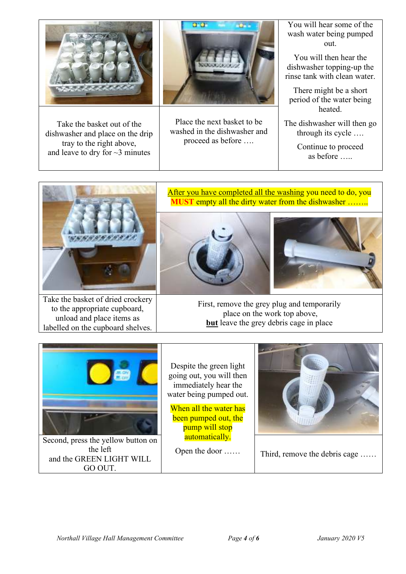

Take the basket out of the dishwasher and place on the drip tray to the right above, and leave to dry for  $\sim$ 3 minutes



Place the next basket to be washed in the dishwasher and proceed as before ….

You will hear some of the wash water being pumped out.

You will then hear the dishwasher topping-up the rinse tank with clean water.

There might be a short period of the water being heated.

The dishwasher will then go through its cycle ….

> Continue to proceed as before …..



Take the basket of dried crockery to the appropriate cupboard, unload and place items as labelled on the cupboard shelves.

#### After you have completed all the washing you need to do, you **MUST** empty all the dirty water from the dishwasher .......





First, remove the grey plug and temporarily place on the work top above, **but** leave the grey debris cage in place



Despite the green light going out, you will then immediately hear the water being pumped out.

When all the water has been pumped out, the pump will stop automatically.

Open the door ……



Third, remove the debris cage ……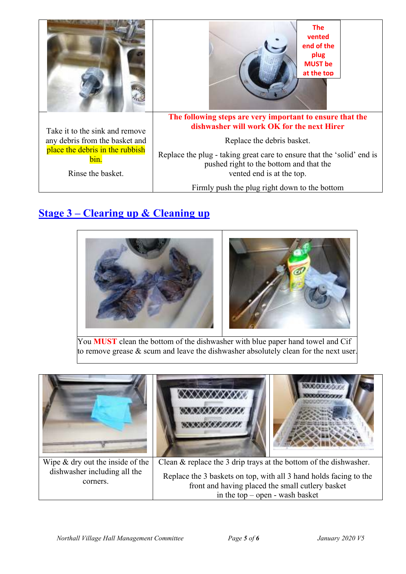

## **Stage 3 – Clearing up & Cleaning up**



You **MUST** clean the bottom of the dishwasher with blue paper hand towel and Cif to remove grease & scum and leave the dishwasher absolutely clean for the next user.



front and having placed the small cutlery basket in the top – open - wash basket